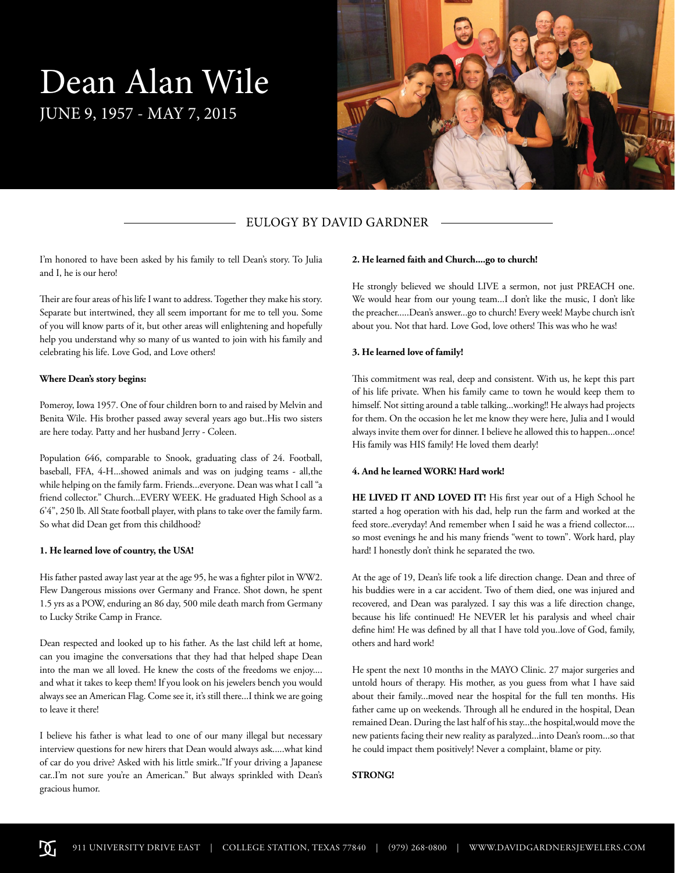# Dean Alan Wile JUNE 9, 1957 - MAY 7, 2015



## EULOGY BY DAVID GARDNER

I'm honored to have been asked by his family to tell Dean's story. To Julia and I, he is our hero!

Their are four areas of his life I want to address. Together they make his story. Separate but intertwined, they all seem important for me to tell you. Some of you will know parts of it, but other areas will enlightening and hopefully help you understand why so many of us wanted to join with his family and celebrating his life. Love God, and Love others!

#### **Where Dean's story begins:**

Pomeroy, Iowa 1957. One of four children born to and raised by Melvin and Benita Wile. His brother passed away several years ago but..His two sisters are here today. Patty and her husband Jerry - Coleen.

Population 646, comparable to Snook, graduating class of 24. Football, baseball, FFA, 4-H...showed animals and was on judging teams - all,the while helping on the family farm. Friends...everyone. Dean was what I call "a friend collector." Church...EVERY WEEK. He graduated High School as a 6'4", 250 lb. All State football player, with plans to take over the family farm. So what did Dean get from this childhood?

#### **1. He learned love of country, the USA!**

His father pasted away last year at the age 95, he was a fighter pilot in WW2. Flew Dangerous missions over Germany and France. Shot down, he spent 1.5 yrs as a POW, enduring an 86 day, 500 mile death march from Germany to Lucky Strike Camp in France.

Dean respected and looked up to his father. As the last child left at home, can you imagine the conversations that they had that helped shape Dean into the man we all loved. He knew the costs of the freedoms we enjoy.... and what it takes to keep them! If you look on his jewelers bench you would always see an American Flag. Come see it, it's still there...I think we are going to leave it there!

I believe his father is what lead to one of our many illegal but necessary interview questions for new hirers that Dean would always ask.....what kind of car do you drive? Asked with his little smirk.."If your driving a Japanese car..I'm not sure you're an American." But always sprinkled with Dean's gracious humor.

#### **2. He learned faith and Church....go to church!**

He strongly believed we should LIVE a sermon, not just PREACH one. We would hear from our young team...I don't like the music, I don't like the preacher.....Dean's answer...go to church! Every week! Maybe church isn't about you. Not that hard. Love God, love others! This was who he was!

#### **3. He learned love of family!**

This commitment was real, deep and consistent. With us, he kept this part of his life private. When his family came to town he would keep them to himself. Not sitting around a table talking...working!! He always had projects for them. On the occasion he let me know they were here, Julia and I would always invite them over for dinner. I believe he allowed this to happen...once! His family was HIS family! He loved them dearly!

#### **4. And he learned WORK! Hard work!**

**HE LIVED IT AND LOVED IT!** His first year out of a High School he started a hog operation with his dad, help run the farm and worked at the feed store..everyday! And remember when I said he was a friend collector.... so most evenings he and his many friends "went to town". Work hard, play hard! I honestly don't think he separated the two.

At the age of 19, Dean's life took a life direction change. Dean and three of his buddies were in a car accident. Two of them died, one was injured and recovered, and Dean was paralyzed. I say this was a life direction change, because his life continued! He NEVER let his paralysis and wheel chair define him! He was defined by all that I have told you..love of God, family, others and hard work!

He spent the next 10 months in the MAYO Clinic. 27 major surgeries and untold hours of therapy. His mother, as you guess from what I have said about their family...moved near the hospital for the full ten months. His father came up on weekends. Through all he endured in the hospital, Dean remained Dean. During the last half of his stay...the hospital,would move the new patients facing their new reality as paralyzed...into Dean's room...so that he could impact them positively! Never a complaint, blame or pity.

### **STRONG!**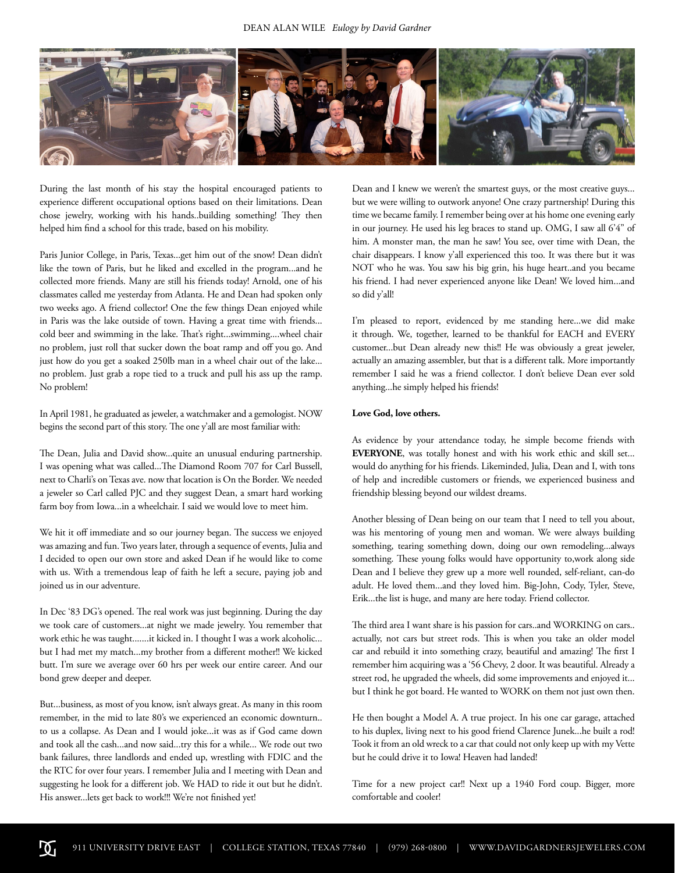

During the last month of his stay the hospital encouraged patients to experience different occupational options based on their limitations. Dean chose jewelry, working with his hands..building something! They then helped him find a school for this trade, based on his mobility.

Paris Junior College, in Paris, Texas...get him out of the snow! Dean didn't like the town of Paris, but he liked and excelled in the program...and he collected more friends. Many are still his friends today! Arnold, one of his classmates called me yesterday from Atlanta. He and Dean had spoken only two weeks ago. A friend collector! One the few things Dean enjoyed while in Paris was the lake outside of town. Having a great time with friends... cold beer and swimming in the lake. That's right...swimming....wheel chair no problem, just roll that sucker down the boat ramp and off you go. And just how do you get a soaked 250lb man in a wheel chair out of the lake... no problem. Just grab a rope tied to a truck and pull his ass up the ramp. No problem!

In April 1981, he graduated as jeweler, a watchmaker and a gemologist. NOW begins the second part of this story. The one y'all are most familiar with:

The Dean, Julia and David show...quite an unusual enduring partnership. I was opening what was called...The Diamond Room 707 for Carl Bussell, next to Charli's on Texas ave. now that location is On the Border. We needed a jeweler so Carl called PJC and they suggest Dean, a smart hard working farm boy from Iowa...in a wheelchair. I said we would love to meet him.

We hit it off immediate and so our journey began. The success we enjoyed was amazing and fun. Two years later, through a sequence of events, Julia and I decided to open our own store and asked Dean if he would like to come with us. With a tremendous leap of faith he left a secure, paying job and joined us in our adventure.

In Dec '83 DG's opened. The real work was just beginning. During the day we took care of customers...at night we made jewelry. You remember that work ethic he was taught.......it kicked in. I thought I was a work alcoholic... but I had met my match...my brother from a different mother!! We kicked butt. I'm sure we average over 60 hrs per week our entire career. And our bond grew deeper and deeper.

But...business, as most of you know, isn't always great. As many in this room remember, in the mid to late 80's we experienced an economic downturn.. to us a collapse. As Dean and I would joke...it was as if God came down and took all the cash...and now said...try this for a while... We rode out two bank failures, three landlords and ended up, wrestling with FDIC and the the RTC for over four years. I remember Julia and I meeting with Dean and suggesting he look for a different job. We HAD to ride it out but he didn't. His answer...lets get back to work!!! We're not finished yet!

Dean and I knew we weren't the smartest guys, or the most creative guys... but we were willing to outwork anyone! One crazy partnership! During this time we became family. I remember being over at his home one evening early in our journey. He used his leg braces to stand up. OMG, I saw all 6'4" of him. A monster man, the man he saw! You see, over time with Dean, the chair disappears. I know y'all experienced this too. It was there but it was NOT who he was. You saw his big grin, his huge heart..and you became his friend. I had never experienced anyone like Dean! We loved him...and so did y'all!

I'm pleased to report, evidenced by me standing here...we did make it through. We, together, learned to be thankful for EACH and EVERY customer...but Dean already new this!! He was obviously a great jeweler, actually an amazing assembler, but that is a different talk. More importantly remember I said he was a friend collector. I don't believe Dean ever sold anything...he simply helped his friends!

#### **Love God, love others.**

As evidence by your attendance today, he simple become friends with **EVERYONE**, was totally honest and with his work ethic and skill set... would do anything for his friends. Likeminded, Julia, Dean and I, with tons of help and incredible customers or friends, we experienced business and friendship blessing beyond our wildest dreams.

Another blessing of Dean being on our team that I need to tell you about, was his mentoring of young men and woman. We were always building something, tearing something down, doing our own remodeling...always something. These young folks would have opportunity to,work along side Dean and I believe they grew up a more well rounded, self-reliant, can-do adult. He loved them...and they loved him. Big-John, Cody, Tyler, Steve, Erik...the list is huge, and many are here today. Friend collector.

The third area I want share is his passion for cars..and WORKING on cars.. actually, not cars but street rods. This is when you take an older model car and rebuild it into something crazy, beautiful and amazing! The first I remember him acquiring was a '56 Chevy, 2 door. It was beautiful. Already a street rod, he upgraded the wheels, did some improvements and enjoyed it... but I think he got board. He wanted to WORK on them not just own then.

He then bought a Model A. A true project. In his one car garage, attached to his duplex, living next to his good friend Clarence Junek...he built a rod! Took it from an old wreck to a car that could not only keep up with my Vette but he could drive it to Iowa! Heaven had landed!

Time for a new project car!! Next up a 1940 Ford coup. Bigger, more comfortable and cooler!